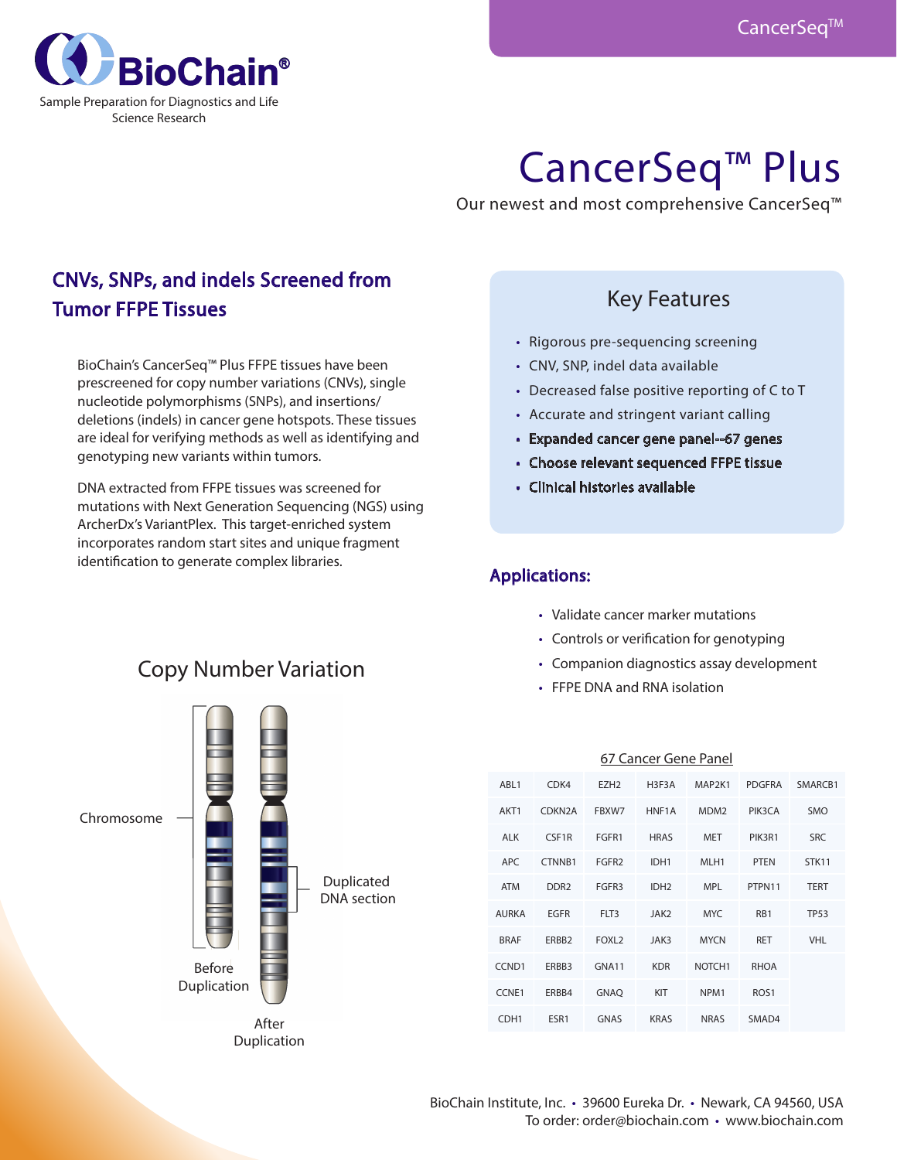

# CancerSeq™ Plus

Our newest and most comprehensive CancerSeq™

## CNVs, SNPs, and indels Screened from Tumor FFPE Tissues

BioChain's CancerSeq™ Plus FFPE tissues have been prescreened for copy number variations (CNVs), single nucleotide polymorphisms (SNPs), and insertions/ deletions (indels) in cancer gene hotspots. These tissues are ideal for verifying methods as well as identifying and genotyping new variants within tumors.

DNA extracted from FFPE tissues was screened for mutations with Next Generation Sequencing (NGS) using ArcherDx's VariantPlex. This target-enriched system incorporates random start sites and unique fragment identification to generate complex libraries.

## Key Features

- Rigorous pre-sequencing screening
- CNV, SNP, indel data available
- Decreased false positive reporting of C to T
- Accurate and stringent variant calling
- • Expanded cancer gene panel--67 genes
- • Choose relevant sequenced FFPE tissue
- • Clinical histories available

## Applications:

- Validate cancer marker mutations
- • Controls or verification for genotyping
- • Companion diagnostics assay development
- • FFPE DNA and RNA isolation

| Chromosome | <b>Before</b><br>Duplication |                      | Duplicated<br><b>DNA</b> section |
|------------|------------------------------|----------------------|----------------------------------|
|            |                              | After<br>Duplication |                                  |

| 67 Cancer Gene Panel |                     |                   |                  |                    |                  |             |
|----------------------|---------------------|-------------------|------------------|--------------------|------------------|-------------|
| ABL1                 | CDK4                | EZH <sub>2</sub>  | H3F3A            | MAP2K1             | <b>PDGFRA</b>    | SMARCB1     |
| AKT1                 | CDKN <sub>2</sub> A | FBXW7             | HNF1A            | MDM <sub>2</sub>   | PIK3CA           | <b>SMO</b>  |
| <b>ALK</b>           | CSF1R               | FGFR1             | <b>HRAS</b>      | <b>MET</b>         | PIK3R1           | <b>SRC</b>  |
| APC                  | CTNNB1              | FGFR <sub>2</sub> | IDH1             | MLH <sub>1</sub>   | <b>PTEN</b>      | STK11       |
| <b>ATM</b>           | DDR <sub>2</sub>    | FGFR3             | IDH <sub>2</sub> | <b>MPL</b>         | PTPN11           | <b>TERT</b> |
| <b>AURKA</b>         | <b>EGFR</b>         | FLT3              | JAK <sub>2</sub> | <b>MYC</b>         | R <sub>B</sub> 1 | <b>TP53</b> |
| <b>BRAF</b>          | ERBB <sub>2</sub>   | FOXL <sub>2</sub> | JAK3             | <b>MYCN</b>        | <b>RET</b>       | <b>VHL</b>  |
| CCND <sub>1</sub>    | ERBB3               | GNA11             | <b>KDR</b>       | NOTCH <sub>1</sub> | <b>RHOA</b>      |             |
| CCNE1                | ERBB4               | <b>GNAQ</b>       | KIT              | NPM <sub>1</sub>   | ROS <sub>1</sub> |             |
| CDH <sub>1</sub>     | ESR1                | <b>GNAS</b>       | <b>KRAS</b>      | <b>NRAS</b>        | SMAD4            |             |

# Copy Number Variation

 $\Box$